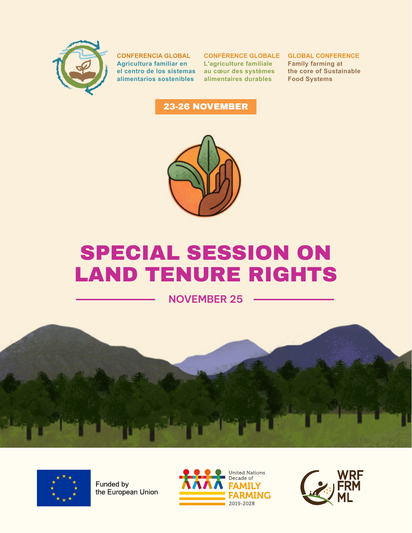

**CONFERENCIA GLOBAL Agricultura familiar en el centro de los sistemas alimentarios sostenibles**

**CONFÉRENCE GLOBALE GLOBAL CONFERENCE L'agriculture familiale au cœur des systèmes alimentaires durables**

**Family farming at the core of Sustainable Food Systems**

### 23-26 NOVEMBER



# SPECIAL SESSION ON LAND TENURE RIGHTS

**NOVEMBER 25**





Funded by the European Union



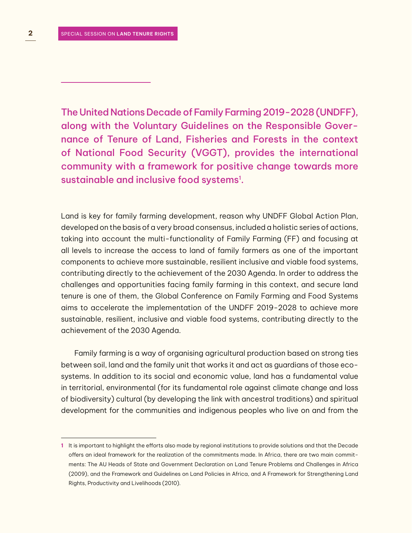The United Nations Decade of Family Farming 2019-2028 (UNDFF), along with the Voluntary Guidelines on the Responsible Governance of Tenure of Land, Fisheries and Forests in the context of National Food Security (VGGT), provides the international community with a framework for positive change towards more sustainable and inclusive food systems<sup>1</sup>.

Land is key for family farming development, reason why UNDFF Global Action Plan, developed on the basis of a very broad consensus, included a holistic series of actions, taking into account the multi-functionality of Family Farming (FF) and focusing at all levels to increase the access to land of family farmers as one of the important components to achieve more sustainable, resilient inclusive and viable food systems, contributing directly to the achievement of the 2030 Agenda. In order to address the challenges and opportunities facing family farming in this context, and secure land tenure is one of them, the Global Conference on Family Farming and Food Systems aims to accelerate the implementation of the UNDFF 2019-2028 to achieve more sustainable, resilient, inclusive and viable food systems, contributing directly to the achievement of the 2030 Agenda.

Family farming is a way of organising agricultural production based on strong ties between soil, land and the family unit that works it and act as guardians of those ecosystems. In addition to its social and economic value, land has a fundamental value in territorial, environmental (for its fundamental role against climate change and loss of biodiversity) cultural (by developing the link with ancestral traditions) and spiritual development for the communities and indigenous peoples who live on and from the

**<sup>1</sup>** It is important to highlight the efforts also made by regional institutions to provide solutions and that the Decade offers an ideal framework for the realization of the commitments made. In Africa, there are two main commitments: The AU Heads of State and Government Declaration on Land Tenure Problems and Challenges in Africa (2009), and the Framework and Guidelines on Land Policies in Africa, and A Framework for Strengthening Land Rights, Productivity and Livelihoods (2010).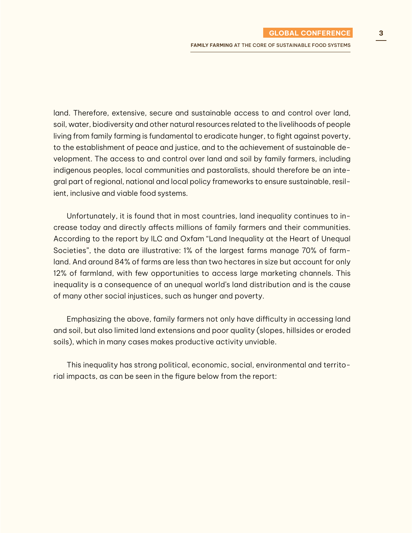land. Therefore, extensive, secure and sustainable access to and control over land, soil, water, biodiversity and other natural resources related to the livelihoods of people living from family farming is fundamental to eradicate hunger, to fight against poverty, to the establishment of peace and justice, and to the achievement of sustainable development. The access to and control over land and soil by family farmers, including indigenous peoples, local communities and pastoralists, should therefore be an integral part of regional, national and local policy frameworks to ensure sustainable, resilient, inclusive and viable food systems.

Unfortunately, it is found that in most countries, land inequality continues to increase today and directly affects millions of family farmers and their communities. According to the report by ILC and Oxfam "Land Inequality at the Heart of Unequal Societies", the data are illustrative: 1% of the largest farms manage 70% of farmland. And around 84% of farms are less than two hectares in size but account for only 12% of farmland, with few opportunities to access large marketing channels. This inequality is a consequence of an unequal world's land distribution and is the cause of many other social injustices, such as hunger and poverty.

Emphasizing the above, family farmers not only have difficulty in accessing land and soil, but also limited land extensions and poor quality (slopes, hillsides or eroded soils), which in many cases makes productive activity unviable.

This inequality has strong political, economic, social, environmental and territorial impacts, as can be seen in the figure below from the report: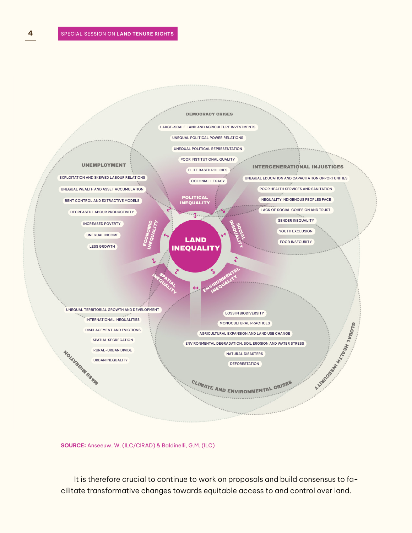

**SOURCE:** Anseeuw, W. (ILC/CIRAD) & Baldinelli, G.M. (ILC)

It is therefore crucial to continue to work on proposals and build consensus to facilitate transformative changes towards equitable access to and control over land.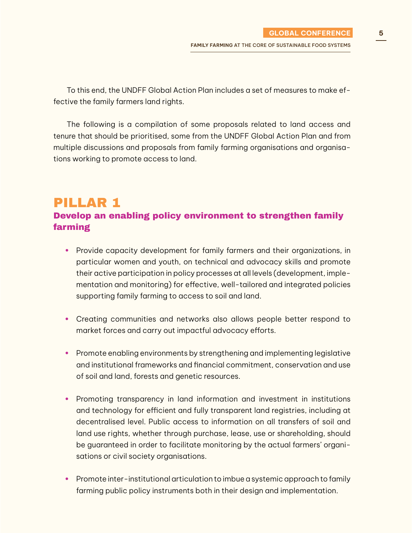To this end, the UNDFF Global Action Plan includes a set of measures to make effective the family farmers land rights.

The following is a compilation of some proposals related to land access and tenure that should be prioritised, some from the UNDFF Global Action Plan and from multiple discussions and proposals from family farming organisations and organisations working to promote access to land.

### PILLAR 1 Develop an enabling policy environment to strengthen family farming

- **•** Provide capacity development for family farmers and their organizations, in particular women and youth, on technical and advocacy skills and promote their active participation in policy processes at all levels (development, implementation and monitoring) for effective, well-tailored and integrated policies supporting family farming to access to soil and land.
- **•** Creating communities and networks also allows people better respond to market forces and carry out impactful advocacy efforts.
- **•** Promote enabling environments by strengthening and implementing legislative and institutional frameworks and financial commitment, conservation and use of soil and land, forests and genetic resources.
- **•** Promoting transparency in land information and investment in institutions and technology for efficient and fully transparent land registries, including at decentralised level. Public access to information on all transfers of soil and land use rights, whether through purchase, lease, use or shareholding, should be guaranteed in order to facilitate monitoring by the actual farmers' organisations or civil society organisations.
- **•** Promote inter-institutional articulation to imbue a systemic approach to family farming public policy instruments both in their design and implementation.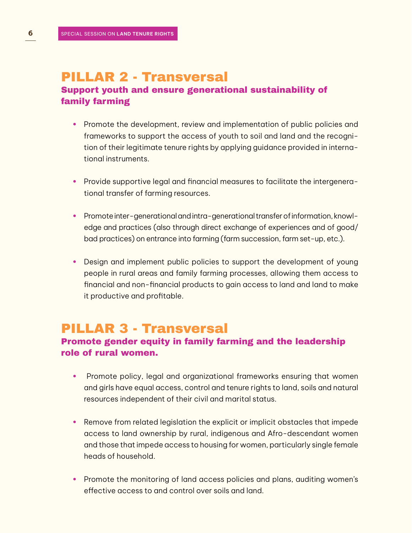# PILLAR 2 - Transversal

### Support youth and ensure generational sustainability of family farming

- **•** Promote the development, review and implementation of public policies and frameworks to support the access of youth to soil and land and the recognition of their legitimate tenure rights by applying guidance provided in international instruments.
- **•** Provide supportive legal and financial measures to facilitate the intergenerational transfer of farming resources.
- **•** Promote inter-generational and intra-generational transfer of information, knowledge and practices (also through direct exchange of experiences and of good/ bad practices) on entrance into farming (farm succession, farm set-up, etc.).
- **•** Design and implement public policies to support the development of young people in rural areas and family farming processes, allowing them access to financial and non-financial products to gain access to land and land to make it productive and profitable.

## PILLAR 3 - Transversal

### Promote gender equity in family farming and the leadership role of rural women.

- **•** Promote policy, legal and organizational frameworks ensuring that women and girls have equal access, control and tenure rights to land, soils and natural resources independent of their civil and marital status.
- **•** Remove from related legislation the explicit or implicit obstacles that impede access to land ownership by rural, indigenous and Afro-descendant women and those that impede access to housing for women, particularly single female heads of household.
- **•** Promote the monitoring of land access policies and plans, auditing women's effective access to and control over soils and land.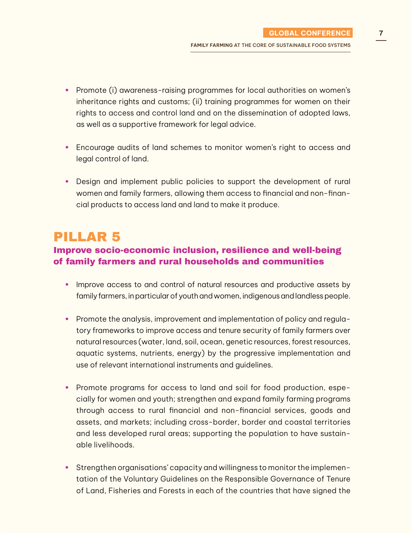- **•** Promote (i) awareness-raising programmes for local authorities on women's inheritance rights and customs; (ii) training programmes for women on their rights to access and control land and on the dissemination of adopted laws, as well as a supportive framework for legal advice.
- **•** Encourage audits of land schemes to monitor women's right to access and legal control of land.
- **•** Design and implement public policies to support the development of rural women and family farmers, allowing them access to financial and non-financial products to access land and land to make it produce.

### PILLAR 5

### Improve socio-economic inclusion, resilience and well-being of family farmers and rural households and communities

- **•** Improve access to and control of natural resources and productive assets by family farmers, in particular of youth and women, indigenous and landless people.
- **•** Promote the analysis, improvement and implementation of policy and regulatory frameworks to improve access and tenure security of family farmers over natural resources (water, land, soil, ocean, genetic resources, forest resources, aquatic systems, nutrients, energy) by the progressive implementation and use of relevant international instruments and guidelines.
- **•** Promote programs for access to land and soil for food production, especially for women and youth; strengthen and expand family farming programs through access to rural financial and non-financial services, goods and assets, and markets; including cross-border, border and coastal territories and less developed rural areas; supporting the population to have sustainable livelihoods.
- **•** Strengthen organisations' capacity and willingness to monitor the implementation of the Voluntary Guidelines on the Responsible Governance of Tenure of Land, Fisheries and Forests in each of the countries that have signed the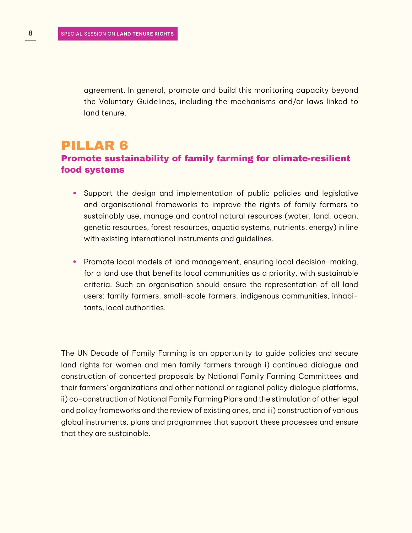agreement. In general, promote and build this monitoring capacity beyond the Voluntary Guidelines, including the mechanisms and/or laws linked to land tenure.

### PILLAR 6 Promote sustainability of family farming for climate-resilient food systems

- **•** Support the design and implementation of public policies and legislative and organisational frameworks to improve the rights of family farmers to sustainably use, manage and control natural resources (water, land, ocean, genetic resources, forest resources, aquatic systems, nutrients, energy) in line with existing international instruments and guidelines.
- **•** Promote local models of land management, ensuring local decision-making, for a land use that benefits local communities as a priority, with sustainable criteria. Such an organisation should ensure the representation of all land users: family farmers, small-scale farmers, indigenous communities, inhabitants, local authorities.

The UN Decade of Family Farming is an opportunity to guide policies and secure land rights for women and men family farmers through i) continued dialogue and construction of concerted proposals by National Family Farming Committees and their farmers' organizations and other national or regional policy dialogue platforms, ii) co-construction of National Family Farming Plans and the stimulation of other legal and policy frameworks and the review of existing ones, and iii) construction of various global instruments, plans and programmes that support these processes and ensure that they are sustainable.